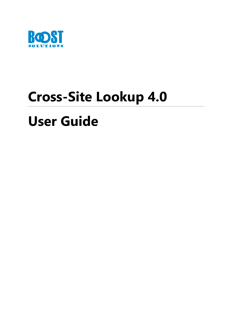

# **Cross-Site Lookup 4.0**

# **User Guide**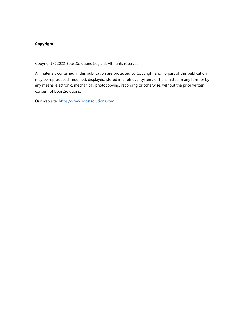#### **Copyright**

Copyright ©2022 BoostSolutions Co., Ltd. All rights reserved.

All materials contained in this publication are protected by Copyright and no part of this publication may be reproduced, modified, displayed, stored in a retrieval system, or transmitted in any form or by any means, electronic, mechanical, photocopying, recording or otherwise, without the prior written consent of BoostSolutions.

Our web site: [https://www.boostsolutions.com](https://www.boostsolutions.com/)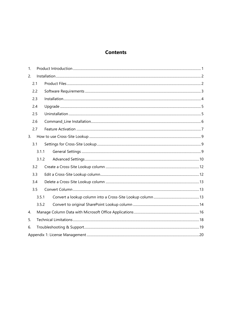## **Contents**

| 1. |       |  |  |  |
|----|-------|--|--|--|
| 2. |       |  |  |  |
|    | 2.1   |  |  |  |
|    | 2.2   |  |  |  |
|    | 2.3   |  |  |  |
|    | 2.4   |  |  |  |
|    | 2.5   |  |  |  |
|    | 2.6   |  |  |  |
|    | 2.7   |  |  |  |
| 3. |       |  |  |  |
|    | 3.1   |  |  |  |
|    | 3.1.1 |  |  |  |
|    | 3.1.2 |  |  |  |
|    | 3.2   |  |  |  |
|    | 3.3   |  |  |  |
|    | 3.4   |  |  |  |
|    | 3.5   |  |  |  |
|    | 3.5.1 |  |  |  |
|    | 3.5.2 |  |  |  |
| 4. |       |  |  |  |
| 5. |       |  |  |  |
| 6. |       |  |  |  |
|    |       |  |  |  |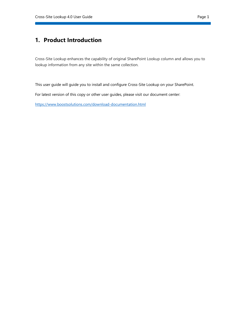## <span id="page-3-0"></span>**1. Product Introduction**

Cross-Site Lookup enhances the capability of original SharePoint Lookup column and allows you to lookup information from any site within the same collection.

This user guide will guide you to install and configure Cross-Site Lookup on your SharePoint.

For latest version of this copy or other user guides, please visit our document center:

<https://www.boostsolutions.com/download-documentation.html>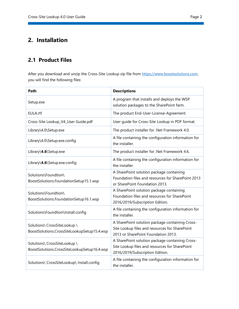# <span id="page-4-0"></span>**2. Installation**

## <span id="page-4-1"></span>**2.1 Product Files**

After you download and unzip the Cross-Site Lookup zip file from [https://www.boostsolutions.com,](https://www.boostsolutions.com/) you will find the following files:

| Path                                                                        | <b>Descriptions</b>                                                                                                                      |  |  |  |
|-----------------------------------------------------------------------------|------------------------------------------------------------------------------------------------------------------------------------------|--|--|--|
| Setup.exe                                                                   | A program that installs and deploys the WSP<br>solution packages to the SharePoint farm.                                                 |  |  |  |
| EULA.rtf                                                                    | The product End-User-License-Agreement.                                                                                                  |  |  |  |
| Cross-Site Lookup_V4_User Guide.pdf                                         | User guide for Cross-Site Lookup in PDF format.                                                                                          |  |  |  |
| Library\4.0\Setup.exe                                                       | The product installer for .Net Framework 4.0.                                                                                            |  |  |  |
| Library\4.0\Setup.exe.config                                                | A file containing the configuration information for<br>the installer.                                                                    |  |  |  |
| Library\4.6\Setup.exe                                                       | The product installer for .Net Framework 4.6.                                                                                            |  |  |  |
| Library\4.6\Setup.exe.config                                                | A file containing the configuration information for<br>the installer.                                                                    |  |  |  |
| Solutions\Foundtion\<br>BoostSolutions.FoundationSetup15.1.wsp              | A SharePoint solution package containing<br>Foundation files and resources for SharePoint 2013<br>or SharePoint Foundation 2013.         |  |  |  |
| Solutions\Foundtion\<br>BoostSolutions.FoundationSetup16.1.wsp              | A SharePoint solution package containing<br>Foundation files and resources for SharePoint<br>2016/2019/Subscription Edition.             |  |  |  |
| Solutions\Foundtion\Install.config                                          | A file containing the configuration information for<br>the installer.                                                                    |  |  |  |
| Solutions\ CrossSiteLookup \<br>BoostSolutions.CrossSiteLookupSetup15.4.wsp | A SharePoint solution package containing Cross-<br>Site Lookup files and resources for SharePoint<br>2013 or SharePoint Foundation 2013. |  |  |  |
| Solutions\ CrossSiteLookup \<br>BoostSolutions.CrossSiteLookupSetup16.4.wsp | A SharePoint solution package containing Cross-<br>Site Lookup files and resources for SharePoint<br>2016/2019/Subscription Edition.     |  |  |  |
| Solutions\ CrossSiteLookup\ Install.config                                  | A file containing the configuration information for<br>the installer.                                                                    |  |  |  |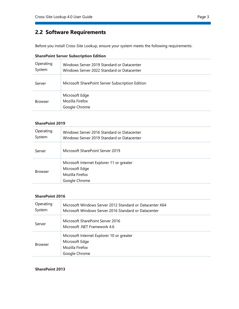## <span id="page-5-0"></span>**2.2 Software Requirements**

Before you install Cross-Site Lookup, ensure your system meets the following requirements:

| <b>SharePoint Server Subscription Edition</b> |                                                                                          |  |
|-----------------------------------------------|------------------------------------------------------------------------------------------|--|
| Operating<br>System                           | Windows Server 2019 Standard or Datacenter<br>Windows Server 2022 Standard or Datacenter |  |
| Server                                        | Microsoft SharePoint Server Subscription Edition                                         |  |
| <b>Browser</b>                                | Microsoft Edge<br>Mozilla Firefox<br>Google Chrome                                       |  |

#### **SharePoint 2019**

| Operating<br>System | Windows Server 2016 Standard or Datacenter<br>Windows Server 2019 Standard or Datacenter        |
|---------------------|-------------------------------------------------------------------------------------------------|
| Server              | Microsoft SharePoint Server 2019                                                                |
| <b>Browser</b>      | Microsoft Internet Explorer 11 or greater<br>Microsoft Edge<br>Mozilla Firefox<br>Google Chrome |

#### **SharePoint 2016**

| Operating<br>System | Microsoft Windows Server 2012 Standard or Datacenter X64<br>Microsoft Windows Server 2016 Standard or Datacenter |
|---------------------|------------------------------------------------------------------------------------------------------------------|
| Server              | Microsoft SharePoint Server 2016<br>Microsoft .NET Framework 4.6                                                 |
| <b>Browser</b>      | Microsoft Internet Explorer 10 or greater<br>Microsoft Edge<br>Mozilla Firefox<br>Google Chrome                  |

#### **SharePoint 2013**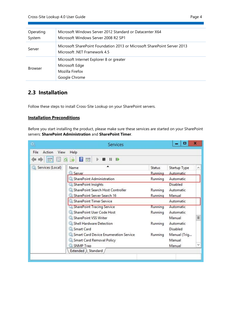| Operating<br>System | Microsoft Windows Server 2012 Standard or Datacenter X64<br>Microsoft Windows Server 2008 R2 SP1         |
|---------------------|----------------------------------------------------------------------------------------------------------|
| Server              | Microsoft SharePoint Foundation 2013 or Microsoft SharePoint Server 2013<br>Microsoft .NET Framework 4.5 |
| <b>Browser</b>      | Microsoft Internet Explorer 8 or greater<br>Microsoft Edge<br>Mozilla Firefox<br>Google Chrome           |

## <span id="page-6-0"></span>**2.3 Installation**

Follow these steps to install Cross-Site Lookup on your SharePoint servers.

#### **Installation Preconditions**

Before you start installing the product, please make sure these services are started on your SharePoint servers: **SharePoint Administration** and **SharePoint Timer**.

|                        | Services                                      |         | x            |   |
|------------------------|-----------------------------------------------|---------|--------------|---|
| Action<br>File<br>View | Help                                          |         |              |   |
| <b>BY</b>              | $\mathbf{r}$<br>园<br>$\blacksquare$<br>Ш<br>国 |         |              |   |
| Services (Local)       | Name                                          | Status  | Startup Type | ∧ |
|                        | <b>Server</b>                                 | Runnina | Automatic    |   |
|                        | SharePoint Administration                     | Running | Automatic    |   |
|                        | SharePoint Insights                           |         | Disabled     |   |
|                        | SharePoint Search Host Controller             | Running | Automatic    |   |
|                        | SharePoint Server Search 16                   | Running | Manual       |   |
|                        | SharePoint Timer Service                      |         | Automatic    |   |
|                        | SharePoint Tracing Service                    | Running | Automatic    |   |
|                        | SharePoint User Code Host                     | Running | Automatic    |   |
|                        | SharePoint VSS Writer                         |         | Manual       | Ξ |
|                        | Shell Hardware Detection                      | Running | Automatic    |   |
|                        | Smart Card                                    |         | Disabled     |   |
|                        | Smart Card Device Enumeration Service         | Running | Manual (Trig |   |
|                        | Smart Card Removal Policy                     |         | Manual       |   |
|                        | SNMP Trap                                     |         | Manual       |   |
|                        | Extended \ Standard                           |         |              |   |
|                        |                                               |         |              |   |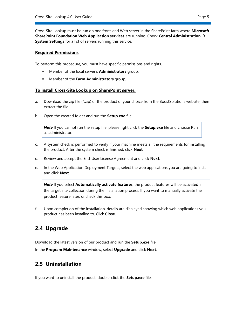Cross-Site Lookup must be run on one front-end Web server in the SharePoint farm where **Microsoft SharePoint Foundation Web Application services** are running. Check **Central Administration** → **System Settings** for a list of servers running this service.

#### **Required Permissions**

To perform this procedure, you must have specific permissions and rights.

- Member of the local server's **Administrators** group.
- Member of the **Farm Administrators** group.

#### **To install Cross-Site Lookup on SharePoint server.**

- a. Download the zip file  $(*.zip)$  of the product of your choice from the BoostSolutions website, then extract the file.
- b. Open the created folder and run the **Setup.exe** file.

*Note* If you cannot run the setup file, please right click the **Setup.exe** file and choose Run as administrator.

- c. A system check is performed to verify if your machine meets all the requirements for installing the product. After the system check is finished, click **Next**.
- d. Review and accept the End-User License Agreement and click **Next**.
- e. In the Web Application Deployment Targets, select the web applications you are going to install and click **Next**.

*Note* If you select **Automatically activate features**, the product features will be activated in the target site collection during the installation process. If you want to manually activate the product feature later, uncheck this box.

f. Upon completion of the installation, details are displayed showing which web applications you product has been installed to. Click **Close**.

## <span id="page-7-0"></span>**2.4 Upgrade**

Download the latest version of our product and run the **Setup.exe** file.

<span id="page-7-1"></span>In the **Program Maintenance** window, select **Upgrade** and click **Next**.

## **2.5 Uninstallation**

If you want to uninstall the product, double-click the **Setup.exe** file.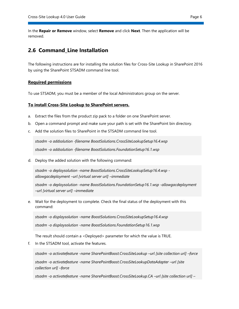In the **Repair or Remove** window, select **Remove** and click **Next**. Then the application will be removed.

## <span id="page-8-0"></span>**2.6 Command\_Line Installation**

The following instructions are for installing the solution files for Cross-Site Lookup in SharePoint 2016 by using the SharePoint STSADM command line tool.

#### **Required permissions**

To use STSADM, you must be a member of the local Administrators group on the server.

#### **To install Cross-Site Lookup to SharePoint servers.**

- a. Extract the files from the product zip pack to a folder on one SharePoint server.
- b. Open a command prompt and make sure your path is set with the SharePoint bin directory.
- c. Add the solution files to SharePoint in the STSADM command line tool.

*stsadm -o addsolution -filename BoostSolutions.CrossSiteLookupSetup16.4.wsp stsadm -o addsolution -filename BoostSolutions.FoundationSetup16.1.wsp*

d. Deploy the added solution with the following command:

*stsadm -o deploysolution -name BoostSolutions.CrossSiteLookupSetup16.4.wsp allowgacdeployment –url [virtual server url] –immediate*

*stsadm -o deploysolution -name BoostSolutions.FoundationSetup16.1.wsp -allowgacdeployment –url [virtual server url] –immediate*

e. Wait for the deployment to complete. Check the final status of the deployment with this command:

*stsadm -o displaysolution -name BoostSolutions.CrossSiteLookupSetup16.4.wsp stsadm -o displaysolution -name BoostSolutions.FoundationSetup16.1.wsp*

The result should contain a <Deployed> parameter for which the value is TRUE.

f. In the STSADM tool, activate the features.

*stsadm -o activatefeature -name SharePointBoost.CrossSiteLookup –url [site collection url] –force* stsadm -o activatefeature -name SharePointBoost.CrossSiteLookupDataAdapter --url [site *collection url] –force*

*stsadm -o activatefeature -name SharePointBoost.CrossSiteLookup.CA –url [site collection url] –*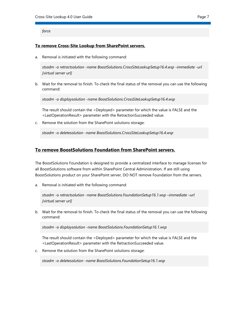*force*

#### **To remove Cross-Site Lookup from SharePoint servers.**

a. Removal is initiated with the following command:

*stsadm -o retractsolution -name BoostSolutions.CrossSiteLookupSetup16.4.wsp -immediate -url [virtual server url]* 

b. Wait for the removal to finish. To check the final status of the removal you can use the following command:

*stsadm -o displaysolution -name BoostSolutions.CrossSiteLookupSetup16.4.wsp*

The result should contain the <Deployed> parameter for which the value is FALSE and the <LastOperationResult> parameter with the RetractionSucceeded value.

c. Remove the solution from the SharePoint solutions storage:

*stsadm -o deletesolution -name BoostSolutions.CrossSiteLookupSetup16.4.wsp*

#### <span id="page-9-0"></span>**To remove BoostSolutions Foundation from SharePoint servers.**

The BoostSolutions Foundation is designed to provide a centralized interface to manage licenses for all BoostSolutions software from within SharePoint Central Administration. If are still using BoostSolutions product on your SharePoint server, DO NOT remove Foundation from the servers.

a. Removal is initiated with the following command:

*stsadm -o retractsolution -name BoostSolutions.FoundationSetup16.1.wsp –immediate –url [virtual server url]*

b. Wait for the removal to finish. To check the final status of the removal you can use the following command:

*stsadm -o displaysolution -name BoostSolutions.FoundationSetup16.1.wsp*

The result should contain the <Deployed> parameter for which the value is FALSE and the <LastOperationResult> parameter with the RetractionSucceeded value.

c. Remove the solution from the SharePoint solutions storage:

*stsadm -o deletesolution -name BoostSolutions.FoundationSetup16.1.wsp*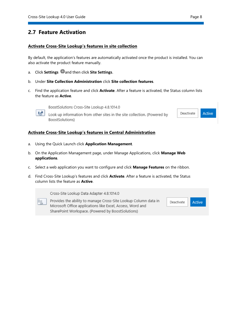## **2.7 Feature Activation**

#### **Activate Cross-Site Lookup's features in site collection**

By default, the application's features are automatically activated once the product is installed. You can also activate the product feature manually.

- a. Click **Settings** and then click **Site Settings**.
- b. Under **Site Collection Administration** click **Site collection features**.
- c. Find the application feature and click **Activate**. After a feature is activated, the Status column lists the feature as **Active**.



BoostSolutions Cross-Site Lookup 4.8.1014.0

Look up information from other sites in the site collection. (Powered by BoostSolutions)



#### **Activate Cross-Site Lookup's features in Central Administration**

- a. Using the Quick Launch click **Application Management**.
- b. On the Application Management page, under Manage Applications, click **Manage Web applications**.
- c. Select a web application you want to configure and click **Manage Features** on the ribbon.
- d. Find Cross-Site Lookup's features and click **Activate**. After a feature is activated, the Status column lists the feature as **Active**.

Cross-Site Lookup Data Adapter 4.8.1014.0 Provides the ability to manage Cross-Site Lookup Column data in Deactivate Active Microsoft Office applications like Excel, Access, Word and SharePoint Workspace. (Powered by BoostSolutions)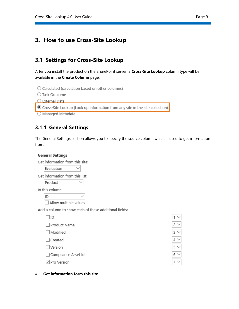## <span id="page-11-0"></span>**3. How to use Cross-Site Lookup**

## <span id="page-11-1"></span>**3.1 Settings for Cross-Site Lookup**

After you install the product on the SharePoint server, a **Cross-Site Lookup** column type will be available in the **Create Column** page.

 $\bigcirc$  Calculated (calculation based on other columns)

○ Task Outcome

O External Data

⊙ Cross-Site Lookup (Look up information from any site in the site collection)

O Managed Metadata

## <span id="page-11-2"></span>**3.1.1 General Settings**

The General Settings section allows you to specify the source column which is used to get information from.

#### **General Settings**

| Get information from this site: |        |  |
|---------------------------------|--------|--|
| Evaluation                      | $\sim$ |  |

Get information from this list:

Product

In this column:

ID

□ Allow multiple values

Add a column to show each of these additional fields:

 $\checkmark$ 

 $\Box$ ID

 $\Box$  Modified

 $\Box$  Created

 $\Box$  Version

□ Compliance Asset Id

 $\Box$  Pro Version



#### • **Get information form this site**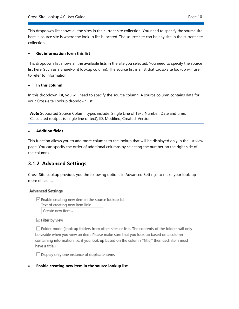This dropdown list shows all the sites in the current site collection. You need to specify the source site here; a source site is where the lookup list is located. The source site can be any site in the current site collection.

#### • **Get information form this list**

This dropdown list shows all the available lists in the site you selected. You need to specify the source list here (such as a SharePoint lookup column). The source list is a list that Cross-Site lookup will use to refer to information.

#### • **In this column**

In this dropdown list, you will need to specify the source column. A source column contains data for your Cross-site Lookup dropdown list.

*Note* Supported Source Column types include: Single Line of Text, Number, Date and time, Calculated (output is single line of text), ID, Modified, Created, Version.

#### • **Addition fields**

This function allows you to add more columns to the lookup that will be displayed only in the list view page. You can specify the order of additional columns by selecting the number on the right side of the columns.

## <span id="page-12-0"></span>**3.1.2 Advanced Settings**

Cross-Site Lookup provides you the following options in Advanced Settings to make your look-up more efficient.

#### **Advanced Settings**

 $\Box$  Enable creating new item in the source lookup list

Text of creating new item link:

Create new item...

 $\vee$  Filter by view

 $\Box$  Folder mode (Look up folders from other sites or lists. The contents of the folders will only be visible when you view an item. Please make sure that you look up based on a column containing information, i.e. if you look up based on the column "Title," then each item must have a title.)

□ Display only one instance of duplicate items

• **Enable creating new item in the source lookup list**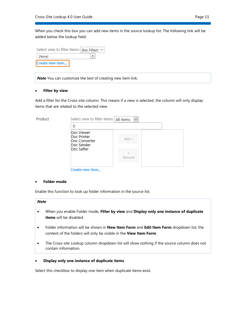When you check this box you can add new items in the source lookup list. The following link will be added below the lookup field:

| Select view to filter items: (No Filter) $\vee$ |  |  |  |
|-------------------------------------------------|--|--|--|
| (None)                                          |  |  |  |
| Create new item                                 |  |  |  |

*Note* You can customize the text of creating new item link.

#### • **Filter by view**

Add a filter for the Cross-site column. This means if a view is selected, the column will only display items that are related to the selected view.

| Product | Select view to filter items: All Items                                 |                   |  |  |  |  |
|---------|------------------------------------------------------------------------|-------------------|--|--|--|--|
|         |                                                                        |                   |  |  |  |  |
|         | Doc Viewer<br>Doc Printer<br>Doc Converter<br>Doc Sender<br>Doc Safter | $Add$ ><br>Remove |  |  |  |  |

Create new item...

#### • **Folder mode**

Enable this function to look up folder information in the source list.

| M<br>۰.<br>v<br>×<br>٠ |
|------------------------|
|------------------------|

- When you enable Folder mode, **Filter by view** and **Display only one instance of duplicate items** will be disabled.
- Folder information will be shown in **New Item Form** and **Edit Item Form** dropdown list; the content of the folders will only be visible in the **View Item Form**.
- The Cross-site Lookup column dropdown list will show nothing if the source column does not contain information.

#### • **Display only one instance of duplicate items**

Select this checkbox to display one item when duplicate items exist.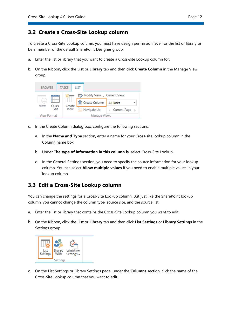## <span id="page-14-0"></span>**3.2 Create a Cross-Site Lookup column**

To create a Cross-Site Lookup column, you must have design permission level for the list or library or be a member of the default SharePoint Designer group.

- a. Enter the list or library that you want to create a Cross-site Lookup column for.
- b. On the Ribbon, click the **List** or **Library** tab and then click **Create Column** in the Manage View group.



- c. In the Create Column dialog box, configure the following sections:
	- a. In the **Name and Type** section, enter a name for your Cross-site lookup column in the Column name box.
	- b. Under **The type of information in this column is**, select Cross-Site Lookup.
	- c. In the General Settings section, you need to specify the source information for your lookup column. You can select **Allow multiple values** if you need to enable multiple values in your lookup column.

## <span id="page-14-1"></span>**3.3 Edit a Cross-Site Lookup column**

You can change the settings for a Cross-Site Lookup column. But just like the SharePoint lookup column, you cannot change the column type, source site, and the source list.

- a. Enter the list or library that contains the Cross-Site Lookup column you want to edit.
- b. On the Ribbon, click the **List** or **Library** tab and then click **List Settings** or **Library Settings** in the Settings group.



c. On the List Settings or Library Settings page, under the **Columns** section, click the name of the Cross-Site Lookup column that you want to edit.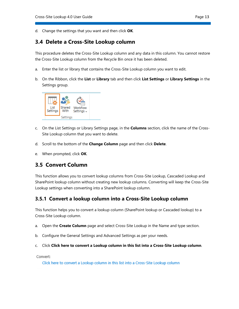d. Change the settings that you want and then click **OK**.

## <span id="page-15-0"></span>**3.4 Delete a Cross-Site Lookup column**

This procedure deletes the Cross-Site Lookup column and any data in this column. You cannot restore the Cross-Site Lookup column from the Recycle Bin once it has been deleted.

- a. Enter the list or library that contains the Cross-Site Lookup column you want to edit.
- b. On the Ribbon, click the **List** or **Library** tab and then click **List Settings** or **Library Settings** in the Settings group.



- c. On the List Settings or Library Settings page, in the **Columns** section, click the name of the Cross-Site Lookup column that you want to delete.
- d. Scroll to the bottom of the **Change Column** page and then click **Delete**.
- e. When prompted, click **OK**.

## <span id="page-15-1"></span>**3.5 Convert Column**

This function allows you to convert lookup columns from Cross-Site Lookup, Cascaded Lookup and SharePoint lookup column without creating new lookup columns. Converting will keep the Cross-Site Lookup settings when converting into a SharePoint lookup column.

## <span id="page-15-2"></span>**3.5.1 Convert a lookup column into a Cross-Site Lookup column**

This function helps you to convert a lookup column (SharePoint lookup or Cascaded lookup) to a Cross-Site Lookup column.

- a. Open the **Create Column** page and select Cross-Site Lookup in the Name and type section.
- b. Configure the General Settings and Advanced Settings as per your needs.
- c. Click **Click here to convert a Lookup column in this list into a Cross-Site Lookup column**.

Convert:

Click here to convert a Lookup column in this list into a Cross-Site Lookup column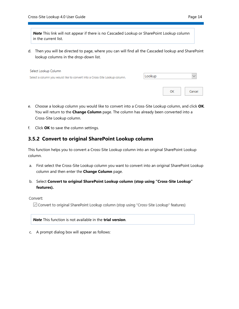*Note* This link will not appear if there is no Cascaded Lookup or SharePoint Lookup column in the current list.

d. Then you will be directed to page, where you can will find all the Cascaded lookup and SharePoint lookup columns in the drop-down list.

| Select Lookup Column                                                       |        |    |        |
|----------------------------------------------------------------------------|--------|----|--------|
| Select a column you would like to convert into a Cross-Site Lookup column. | Lookup |    |        |
|                                                                            |        |    |        |
|                                                                            |        | OK | Cancel |

- e. Choose a lookup column you would like to convert into a Cross-Site Lookup column, and click **OK**. You will return to the **Change Column** page. The column has already been converted into a Cross-Site Lookup column.
- f. Click **OK** to save the column settings.

## <span id="page-16-0"></span>**3.5.2 Convert to original SharePoint Lookup column**

This function helps you to convert a Cross-Site Lookup column into an original SharePoint Lookup column.

- a. First select the Cross-Site Lookup column you want to convert into an original SharePoint Lookup column and then enter the **Change Column** page.
- b. Select **Convert to original SharePoint Lookup column (stop using "Cross-Site Lookup" features).**

#### Convert:

○ Convert to original SharePoint Lookup column (stop using "Cross-Site Lookup" features)

*Note* This function is not available in the **trial version**.

c. A prompt dialog box will appear as follows: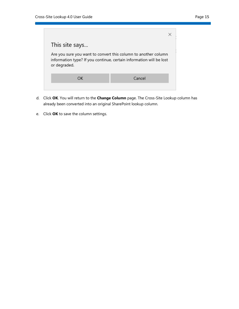

- d. Click **OK**. You will return to the **Change Column** page. The Cross-Site Lookup column has already been converted into an original SharePoint lookup column.
- e. Click **OK** to save the column settings.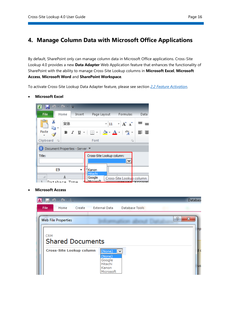## <span id="page-18-0"></span>**4. Manage Column Data with Microsoft Office Applications**

By default, SharePoint only can manage column data in Microsoft Office applications. Cross-Site Lookup 4.0 provides a new **Data Adapter** Web Application feature that enhances the functionality of SharePoint with the ability to manage Cross-Site Lookup columns in **Microsoft Excel**, **Microsoft Access**, **Microsoft Word** and **SharePoint Workspace**.

To activate Cross-Site Lookup Data Adapter feature, please see section *2.2 Feature Activation.*

- $9 0 1$  $X \cup I$ Page Layout Formulas File Home Insert Data Ж 宋体  $A^{\dagger} A^{\dagger}$ ≡  $\overline{.}$  11  $\tau$  $=$ þ Paste abc জ-ま 言 B I  $\underline{U}$   $\sim$   $\mid$ 開 \* Clipboard <sub>Is</sub> Font  $\overline{\mathbb{R}}$ Document Properties - Server Title: Cross-Site Lookup column: v E9 Kanon Hitacl A Google Cross-Site Lookup column  $T_{t, \text{max}}$ Microsof  $\mathbf{1}$  $In a table$
- **Microsoft Excel**



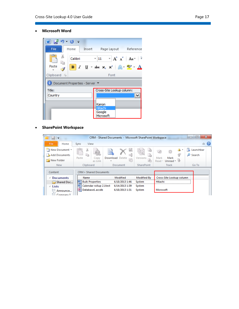• **Microsoft Word**

| W   2-9 じ   -                |                                                                                                                                                         |
|------------------------------|---------------------------------------------------------------------------------------------------------------------------------------------------------|
| File<br>Home                 | Insert Page Layout Reference                                                                                                                            |
| والكر<br>ð<br>Calibri        | $\mathbf{r}$ 11 $\mathbf{r}$ $\mathbf{A}^{\star}$ $\mathbf{A}^{\star}$ $\mathbf{A}$ $\mathbf{a}$ $\mathbf{r}$ $\mathbf{R}$                              |
| Paste                        | <b>B</b> $I$ <b>U</b> $\rightarrow$ abe $X_2$ $X_1^2$ $\rightarrow$ $\rightarrow$ $\rightarrow$ $\rightarrow$ $\rightarrow$ $\rightarrow$ $\rightarrow$ |
| Clipboard G                  | Font                                                                                                                                                    |
| Document Properties - Server |                                                                                                                                                         |
| Title:                       | Cross-Site Lookup column:                                                                                                                               |
| Country                      | v                                                                                                                                                       |
|                              | Kanon<br>Hitachi                                                                                                                                        |
|                              | Google<br>Microsoft                                                                                                                                     |

## • **SharePoint Workspace**

| <b>EI 5 F</b>                                                    |                                                       | CRM - Shared Documents - Microsoft SharePoint Workspace |                   |                                                 | $\mathbf{x}$<br>▣<br>$\Box$ |
|------------------------------------------------------------------|-------------------------------------------------------|---------------------------------------------------------|-------------------|-------------------------------------------------|-----------------------------|
| File<br>Home                                                     | View<br>Sync                                          |                                                         |                   |                                                 | ۵                           |
| New Document *<br><b>Add Documents</b><br><b>New Folder</b>      | 26<br>₫a<br>Paste<br>Copy<br>as Link                  | 園<br>Đ<br>Download Delete<br>眶                          | Versions<br>è     | A.<br>Mark<br>Mark<br>Unread $\tau$<br>$Read =$ | Launchbar<br>Search<br>Ω    |
| <b>New</b>                                                       | Clipboard                                             | Document                                                | <b>SharePoint</b> | Track                                           | Go To                       |
| Content                                                          | <b>CRM &gt; Shared Documents</b>                      |                                                         |                   |                                                 |                             |
| 4 Documents                                                      | Name                                                  | Modified                                                | Modified By       | Cross-Site Lookup column                        |                             |
| Shared Doc                                                       | 陘<br><b>Bulk Properties</b>                           | 6/18/2013 1:46                                          | System            | Hitachi                                         |                             |
| <sup>⊿</sup> Lists<br>Announce<br>$\Box$<br>$=$<br>$5 -$ Company | W)<br>Calendar rollup 2.1test<br>ம<br>Database1.accdb | 6/14/2013 1:39<br>6/18/2013 1:31                        | System<br>System  | Microsoft                                       |                             |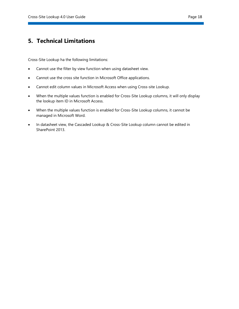## <span id="page-20-0"></span>**5. Technical Limitations**

Cross-Site Lookup ha the following limitations:

- Cannot use the filter by view function when using datasheet view.
- Cannot use the cross site function in Microsoft Office applications.
- Cannot edit column values in Microsoft Access when using Cross-site Lookup.
- When the multiple values function is enabled for Cross-Site Lookup columns, it will only display the lookup item ID in Microsoft Access.
- When the multiple values function is enabled for Cross-Site Lookup columns, it cannot be managed in Microsoft Word.
- In datasheet view, the Cascaded Lookup & Cross-Site Lookup column cannot be edited in SharePoint 2013.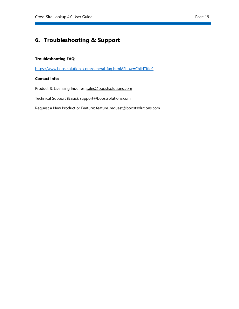# <span id="page-21-0"></span>**6. Troubleshooting & Support**

#### **Troubleshooting FAQ:**

<https://www.boostsolutions.com/general-faq.html#Show=ChildTitle9>

#### **Contact Info:**

Product & Licensing Inquires: [sales@boostsolutions.com](mailto:sales@boostsolutions.com)

Technical Support (Basic): [support@boostsolutions.com](mailto:support@boostsolutions.com)

Request a New Product or Feature: feature request@boostsolutions.com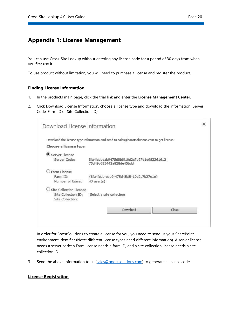## <span id="page-22-0"></span>**Appendix 1: License Management**

You can use Cross-Site Lookup without entering any license code for a period of 30 days from when you first use it.

To use product without limitation, you will need to purchase a license and register the product.

#### **Finding License Information**

- 1. In the products main page, click the trial link and enter the **License Management Center**.
- 2. Click Download License Information, choose a license type and download the information (Server Code, Farm ID or Site Collection ID).

|                         | Download the license type information and send to sales@boostsolutions.com to get license. |       |
|-------------------------|--------------------------------------------------------------------------------------------|-------|
| Choose a license type   |                                                                                            |       |
| Server License          |                                                                                            |       |
| Server Code:            | 8fa4fcbbeab9475d8b8f10d2c7b27e1e982261612<br>75d49c683442a828de45bdd                       |       |
| Farm License            |                                                                                            |       |
| Farm ID:                | {8fa4fcbb-eab9-475d-8b8f-10d2c7b27e1e}                                                     |       |
| Number of Users:        | $43$ user $(s)$                                                                            |       |
| Site Collection License |                                                                                            |       |
| Site Collection ID:     | Select a site collection                                                                   |       |
| Site Collection:        |                                                                                            |       |
|                         | Download                                                                                   | Close |

In order for BoostSolutions to create a license for you, you need to send us your SharePoint environment identifier (Note: different license types need different information). A server license needs a server code; a Farm license needs a farm ID; and a site collection license needs a site collection ID.

3. Send the above information to us (sales@boostsolutions.com) to generate a license code.

#### **License Registration**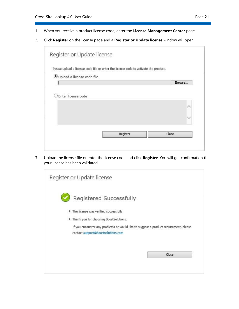- 1. When you receive a product license code, enter the **License Management Center** page.
- 2. Click **Register** on the license page and a **Register or Update license** window will open.

|                            | Please upload a license code file or enter the license code to activate the product. |
|----------------------------|--------------------------------------------------------------------------------------|
| Upload a license code file |                                                                                      |
|                            | Browse                                                                               |
|                            |                                                                                      |
|                            |                                                                                      |

3. Upload the license file or enter the license code and click **Register**. You will get confirmation that your license has been validated.

| Register or Update license                                                                                                 |
|----------------------------------------------------------------------------------------------------------------------------|
| Registered Successfully                                                                                                    |
| The license was verified successfully.                                                                                     |
| Thank you for choosing BoostSolutions.                                                                                     |
| If you encounter any problems or would like to suggest a product requirement, please<br>contact support@boostsolutions.com |
| Close                                                                                                                      |
|                                                                                                                            |